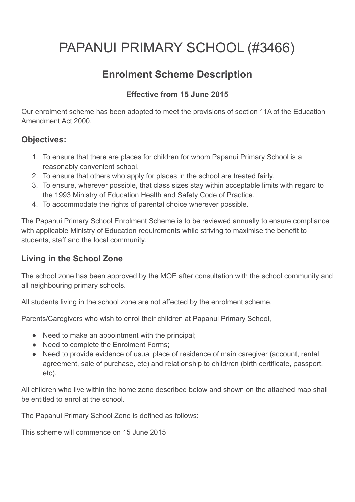# PAPANUI PRIMARY SCHOOL (#3466)

## **Enrolment Scheme Description**

#### **Effective from 15 June 2015**

Our enrolment scheme has been adopted to meet the provisions of section 11A of the Education Amendment Act 2000.

#### **Objectives:**

- 1. To ensure that there are places for children for whom Papanui Primary School is a reasonably convenient school.
- 2. To ensure that others who apply for places in the school are treated fairly.
- 3. To ensure, wherever possible, that class sizes stay within acceptable limits with regard to the 1993 Ministry of Education Health and Safety Code of Practice.
- 4. To accommodate the rights of parental choice wherever possible.

The Papanui Primary School Enrolment Scheme is to be reviewed annually to ensure compliance with applicable Ministry of Education requirements while striving to maximise the benefit to students, staff and the local community.

#### **Living in the School Zone**

The school zone has been approved by the MOE after consultation with the school community and all neighbouring primary schools.

All students living in the school zone are not affected by the enrolment scheme.

Parents/Caregivers who wish to enrol their children at Papanui Primary School,

- Need to make an appointment with the principal;
- Need to complete the Enrolment Forms;
- Need to provide evidence of usual place of residence of main caregiver (account, rental agreement, sale of purchase, etc) and relationship to child/ren (birth certificate, passport, etc).

All children who live within the home zone described below and shown on the attached map shall be entitled to enrol at the school.

The Papanui Primary School Zone is defined as follows:

This scheme will commence on 15 June 2015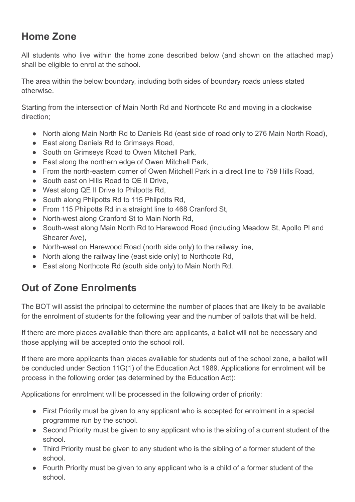# **Home Zone**

All students who live within the home zone described below (and shown on the attached map) shall be eligible to enrol at the school.

The area within the below boundary, including both sides of boundary roads unless stated otherwise.

Starting from the intersection of Main North Rd and Northcote Rd and moving in a clockwise direction;

- North along Main North Rd to Daniels Rd (east side of road only to 276 Main North Road),
- East along Daniels Rd to Grimseys Road.
- South on Grimseys Road to Owen Mitchell Park,
- East along the northern edge of Owen Mitchell Park,
- From the north-eastern corner of Owen Mitchell Park in a direct line to 759 Hills Road,
- South east on Hills Road to QF II Drive
- West along QE II Drive to Philpotts Rd,
- South along Philpotts Rd to 115 Philpotts Rd.
- From 115 Philpotts Rd in a straight line to 468 Cranford St.
- North-west along Cranford St to Main North Rd.
- South-west along Main North Rd to Harewood Road (including Meadow St, Apollo Pl and Shearer Ave),
- North-west on Harewood Road (north side only) to the railway line,
- North along the railway line (east side only) to Northcote Rd,
- East along Northcote Rd (south side only) to Main North Rd.

## **Out of Zone Enrolments**

The BOT will assist the principal to determine the number of places that are likely to be available for the enrolment of students for the following year and the number of ballots that will be held.

If there are more places available than there are applicants, a ballot will not be necessary and those applying will be accepted onto the school roll.

If there are more applicants than places available for students out of the school zone, a ballot will be conducted under Section 11G(1) of the Education Act 1989. Applications for enrolment will be process in the following order (as determined by the Education Act):

Applications for enrolment will be processed in the following order of priority:

- First Priority must be given to any applicant who is accepted for enrolment in a special programme run by the school.
- Second Priority must be given to any applicant who is the sibling of a current student of the school.
- Third Priority must be given to any student who is the sibling of a former student of the school.
- Fourth Priority must be given to any applicant who is a child of a former student of the school.